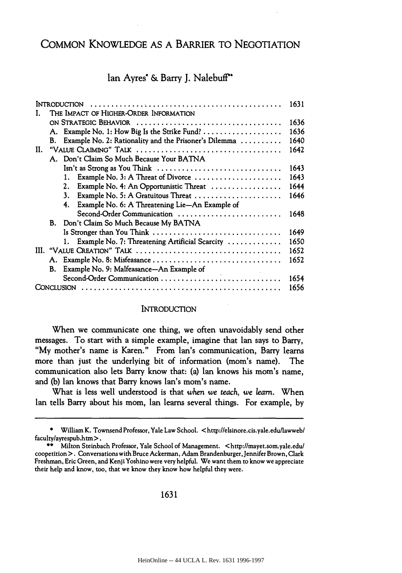# COMMON **KNOWLEDGE AS A** BARRIER TO NEGOTIATION

# Ian Ayres\* **&** Barry **J.** Nalebuff"

|     |    | <b>INTRODUCTION</b>                                                                           | 1631 |  |  |
|-----|----|-----------------------------------------------------------------------------------------------|------|--|--|
|     |    | THE IMPACT OF HIGHER-ORDER INFORMATION                                                        |      |  |  |
|     |    |                                                                                               | 1636 |  |  |
|     |    |                                                                                               | 1636 |  |  |
|     | В. | Example No. 2: Rationality and the Prisoner's Dilemma                                         | 1640 |  |  |
| II. |    |                                                                                               |      |  |  |
|     |    | A. Don't Claim So Much Because Your BATNA                                                     |      |  |  |
|     |    | Isn't as Strong as You Think $\ldots \ldots \ldots \ldots \ldots \ldots \ldots \ldots \ldots$ | 1643 |  |  |
|     |    | Example No. 3: A Threat of Divorce                                                            | 1643 |  |  |
|     |    | Example No. 4: An Opportunistic Threat<br>2.                                                  | 1644 |  |  |
|     |    | Example No. 5: A Gratuitous Threat<br>3.                                                      | 1646 |  |  |
|     |    | Example No. 6: A Threatening Lie-An Example of<br>4.                                          |      |  |  |
|     |    | Second-Order Communication                                                                    | 1648 |  |  |
|     |    | B. Don't Claim So Much Because My BATNA                                                       |      |  |  |
|     |    | Is Stronger than You Think                                                                    | 1649 |  |  |
|     |    | 1. Example No. 7: Threatening Artificial Scarcity                                             | 1650 |  |  |
|     |    |                                                                                               |      |  |  |
|     |    | A. Example No. 8: Misfeasance                                                                 | 1652 |  |  |
|     | В. | Example No. 9: Malfeasance-An Example of                                                      |      |  |  |
|     |    | Second-Order Communication                                                                    | 1654 |  |  |
|     |    |                                                                                               | 1656 |  |  |

### **INTRODUCTION**

When we communicate one thing, we often unavoidably send other messages. To start with a simple example, imagine that Ian says to Barry, "My mother's name is Karen." From Ian's communication, Barry learns more than just the underlying bit of information (mom's name). The communication also lets Barry know that: (a) Ian knows his mom's name, and (b) Ian knows that Barry knows Ian's mom's name.

What is less well understood is that when we *teach, we learn.* When Ian tells Barry about his mom, Ian learns several things. For example, by

<sup>\*</sup> William K. Townsend Professor, Yale Law School. < http://elsinore.cis.yale.edulawweb/ faculty/ayrespub.htm >.

<sup>\*\*</sup> Milton Steinbach Professor, Yale School of Management. <http://mayet.som.yale.edu/ coopetition>. Conversations with Bruce Ackerman, Adam Brandenburger, Jennifer Brown, Clark Freshman, Eric Green, and Kenji Yoshino were very helpful. We want them to know we appreciate their help and know, too, that we know they know how helpful they were.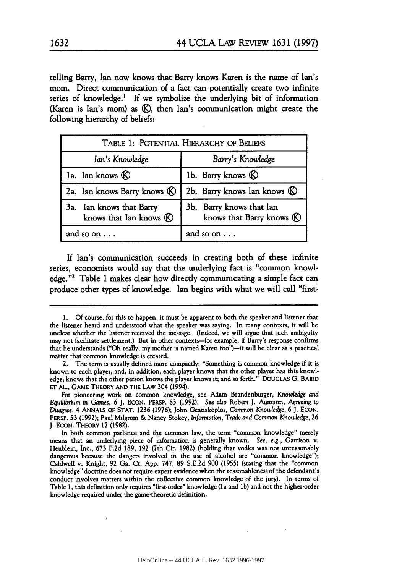telling Barry, Ian now knows that Barry knows Karen is the name of Ian's mom. Direct communication of a fact can potentially create two infinite series of knowledge.<sup>1</sup> If we symbolize the underlying bit of information (Karen is Ian's mom) as **&g),** then Ian's communication might create the following hierarchy of beliefs:

| TABLE 1: POTENTIAL HIERARCHY OF BELIEFS                       |                                                                 |  |  |
|---------------------------------------------------------------|-----------------------------------------------------------------|--|--|
| Ian's Knowledge                                               | Barry's Knowledge                                               |  |  |
| 1a. Ian knows $\&$                                            | 1b. Barry knows $\circledR$                                     |  |  |
| 2a. Ian knows Barry knows (C)                                 | 2b. Barry knows lan knows $\circledR$                           |  |  |
| 3a. Ian knows that Barry<br>knows that Ian knows $\mathbb{R}$ | 3b. Barry knows that lan<br>knows that Barry knows $\mathbb{R}$ |  |  |
| and so on $\dots$                                             | and so on $\ldots$                                              |  |  |

If Ian's communication succeeds in creating both of these infinite series, economists would say that the underlying fact is "common knowledge."<sup>2</sup> Table 1 makes clear how directly communicating a simple fact can produce other types of knowledge. Ian begins with what we will call "first-

<sup>1.</sup> Of course, for this to happen, it must be apparent to both the speaker and listener that the listener heard and understood what the speaker was saying. In many contexts, it will be unclear whether the listener received the message. (Indeed, we will argue that such ambiguity may not facilitate settlement.) But in other contexts-for example, if Barry's response confirms that he understands ("Oh really, my mother is named Karen too")-it will be clear as a practical matter that common knowledge is created.

<sup>2.</sup> The term is usually defined more compactly: "Something is common knowledge if it is known to each player, and, in addition, each player knows that the other player has this knowledge; knows that the other person knows the player knows it; and so forth." DOUGLAS G. BAIRD ET AL., GAME THEORY AND THE LAW 304 (1994).

For pioneering work on common knowledge, see Adam Brandenburger, Knowledge and *Equilibrium in Games,* 6 **J.** ECON. PERSP. 83 (1992). *See also* Robert **J.** Aumann, *Agreeing* to *Disagree,* 4 ANNALS OF STAT. 1236 (1976); John Geanakoplos, *Common* Knowledge, 6 J. EcoN. PERSP. 53 (1992); Paul Milgrom & Nancy Stokey, Information, Trade *and* Common Knowledge, 26 J. EcoN. THEORY 17 (1982).

In both common parlance and the common law, the term "common knowledge" merely means that an underlying piece of information is generally known. *See, e.g.,* Garrison v. Heublein, Inc., 673 F.2d 189, 192 (7th Cir. 1982) (holding that vodka was not unreasonably dangerous because the dangers involved in the use of alcohol are "common knowledge"); Caldwell v. Knight, 92 Ga. Ct. App. 747, 89 S.E.2d 900 (1955) (stating that the "common knowledge" doctrine does not require expert evidence when the reasonableness of the defendant's conduct involves matters within the collective common knowledge of the jury). In terms of Table 1, this definition only requires "first-order" knowledge (la and lb) and not the higher-order knowledge required under the game-theoretic definition.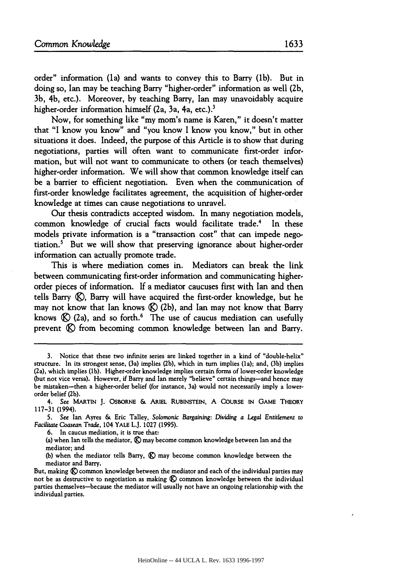order" information (la) and wants to convey this to Barry (1b). But in doing so, Ian may be teaching Barry "higher-order" information as well (2b, 3b, 4b, etc.). Moreover, by teaching Barry, Ian may unavoidably acquire higher-order information himself (2a, 3a, 4a, etc.).<sup>3</sup>

Now, for something like "my mom's name is Karen," it doesn't matter that "I know you know" and "you know I know you know," but in other situations it does. Indeed, the purpose of this Article is to show that during negotiations, parties will often want to communicate first-order information, but will not want to communicate to others (or teach themselves) higher-order information. We will show that common knowledge itself can be a barrier to efficient negotiation. Even when the communication of first-order knowledge facilitates agreement, the acquisition of higher-order knowledge at times can cause negotiations to unravel.

Our thesis contradicts accepted wisdom. In many negotiation models, common knowledge of crucial facts would facilitate trade.<sup>4</sup> In these models private information is a "transaction cost" that can impede negotiation.5 But we will show that preserving ignorance about higher-order information can actually promote trade.

This is where mediation comes in. Mediators can break the link between communicating first-order information and communicating higherorder pieces of information. If a mediator caucuses first with Ian and then tells Barry (C), Barry will have acquired the first-order knowledge, but he may not know that Ian knows  $\mathcal{R}(2b)$ , and Ian may not know that Barry knows  $\mathbb{R}$  (2a), and so forth.<sup>6</sup> The use of caucus mediation can usefully prevent  $\oslash$  from becoming common knowledge between Ian and Barry.

**6.** In caucus mediation, it is true that:

(a) when Ian tells the mediator, **(&)** may become common knowledge between Ian and the mediator; and

(b) when the mediator tells Barry, **(&)** may become common knowledge between the mediator and Barry.

But, making **(&)** common knowledge between the mediator and each of the individual parties may not be as destructive to negotiation as making  $\mathcal{R}$  common knowledge between the individual parties themselves-because the mediator will usually not have an ongoing relationship with the individual parties.

<sup>3.</sup> Notice that these two infinite series are linked together in a kind of "double-helix" structure. In its strongest sense, (3a) implies (2b), which in turn implies (la); and, (3b) implies (2a), which implies (lb). Higher-order knowledge implies certain forms of lower-order knowledge (but not vice versa). However, if Barry and Ian merely "believe" certain things-and hence may be mistaken-then a higher-order belief (for instance, 3a) would not necessarily imply a lowerorder belief (2b).

<sup>4.</sup> See MARTIN **J.** OSBORNE **&** ARIEL RUBINSTEIN, A **COURSE** IN **GAME** THEORY 117-31 (1994).

**<sup>5.</sup> See** Ian Ayres & Eric Talley, Solomonic Bargaining: Dividing *a Legal* Entitlement to *Facilitate Coasean* Trade, 104 YALE L.J. **1027** (1995).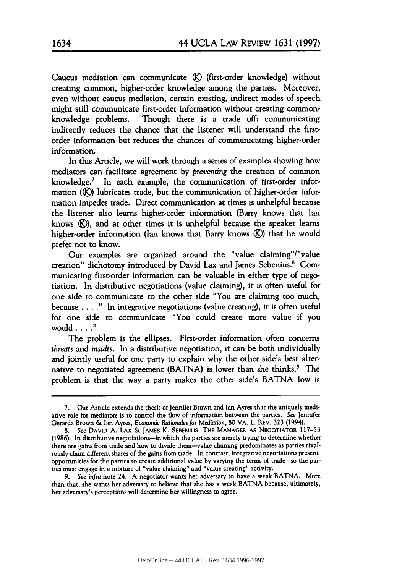Caucus mediation can communicate **(9)** (first-order knowledge) without creating common, higher-order knowledge among the parties. Moreover, even without caucus mediation, certain existing, indirect modes of speech might still communicate first-order information without creating commonknowledge problems. Though there is a trade off: communicating indirectly reduces the chance that the listener will understand the firstorder information but reduces the chances of communicating higher-order information.

In this Article, we will work through a series of examples showing how mediators can facilitate agreement by *preventing* the creation of common knowledge.<sup>7</sup> In each example, the communication of first-order information **(K)** lubricates trade, but the communication of higher-order information impedes trade. Direct communication at times is unhelpful because the listener also learns higher-order information (Barry knows that Ian knows **(9)),** and at other times it is unhelpful because the speaker learns higher-order information (Ian knows that Barry knows **(K)**) that he would prefer not to know.

Our examples are organized around the "value claiming"/"value creation" dichotomy introduced by David Lax and James Sebenius.<sup>8</sup> Communicating first-order information can be valuable in either type of negotiation. In distributive negotiations (value claiming), it is often useful for one side to communicate to the other side "You are claiming too much, because .... **."** In integrative negotiations (value creating), it is often useful for one side to communicate "You could create more value if you would **......**

The problem is the ellipses. First-order information often concerns *threats* and *insults.* In a distributive negotiation, it can be both individually and jointly useful for one party to explain why the other side's best alternative to negotiated agreement (BATNA) is lower than she thinks.<sup>9</sup> The problem is that the way a party makes the other side's BATNA low is

<sup>7.</sup> Our Article extends the thesis of Jennifer Brown and Ian Ayres that the uniquely mediative role for mediators is to control the flow of information between the parties. See Jennifer Gerarda Brown **&** Ian Ayres, Economic *Rationales* for *Mediation,* **80** VA. L. REV. **323** (1994).

**<sup>8.</sup> See** DAVID A. LAX & JAMES K. SEBENIUS, THE MANAGER AS NEGOTIATOR 117-53 (1986). In distributive negotiations-in which the parties are merely trying to determine whether there are gains from trade and how to divide them-value claiming predominates as parties rivalrously claim different shares of the gains from trade. In contrast, integrative negotiations present opportunities for the parties to create additional value **by** varying the terms of trade-so the parties must engage in a mixture of "value claiming" and "value creating" activity.

<sup>9.</sup> *See* infra note 24. A negotiator wants her adversary to have a weak BATNA. More than that, she wants her adversary to believe that she has a weak BATNA because, ultimately, her adversary's perceptions will determine her willingness to agree.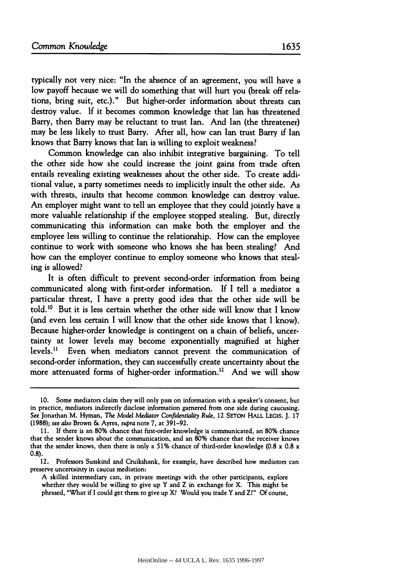typically not very nice: "In the absence of an agreement, you will have a low payoff because we will do something that will hurt you (break off relations, bring suit, etc.)." But higher-order information about threats can destroy value. If it becomes common knowledge that Ian has threatened Barry, then Barry may be reluctant to trust Ian. And Ian (the threatener) may be less likely to trust Barry. After all, how can Ian trust Barry if Ian knows that Barry knows that Ian is willing to exploit weakness?

Common knowledge can also inhibit integrative bargaining. To tell the other side how she could increase the joint gains from trade often entails revealing existing weaknesses about the other side. To create additional value, a party sometimes needs to implicitly insult the other side. As with threats, insults that become common knowledge can destroy value. An employer might want to tell an employee that they could jointly have a more valuable relationship if the employee stopped stealing. But, directly communicating this information can make both the employer and the employee less willing to continue the relationship. How can the employee continue to work with someone who knows she has been stealing? And how can the employer continue to employ someone who knows that stealing is allowed?

It is often difficult to prevent second-order information from being communicated along with first-order information. If I tell a mediator a particular threat, I have a pretty good idea that the other side will be told. 10 But it is less certain whether the other side will know that I know (and even less certain I will know that the other side knows that I know). Because higher-order knowledge is contingent on a chain of beliefs, uncertainty at lower levels may become exponentially magnified at higher levels." Even when mediators cannot prevent the communication of second-order information, they can successfully create uncertainty about the more attenuated forms of higher-order information.<sup>12</sup> And we will show

**<sup>10.</sup>** Some mediators claim they will only pass on information with a speaker's consent, but in practice, mediators indirectly disclose information garnered from one side during caucusing. See Jonathan M. Hyman, *The Model Mediator Confidentiality Rule,* 12 SEToN HALL LEGIS. **J. 17** (1988); *see also* Brown **&** Ayres, supra note 7, at 391-92.

**<sup>11.</sup> If** there is an **80%** chance that first-order knowledge is communicated, an **80%** chance that the sender knows about the communication, and an **80%** chance that the receiver knows that the sender knows, then there is only a **51%** chance of third-order knowledge (0.8 x 0.8 x 0.8).

<sup>12.</sup> Professors Susskind and Cruikshank, for example, have described how mediators can preserve uncertainty in caucus mediation:

**A** skilled intermediary can, in private meetings with the other participants, explore whether they would be willing to give up Y and Z in exchange for X. This might be phrased, "What if I could get them to give up X? Would you trade Y and Z?" Of course,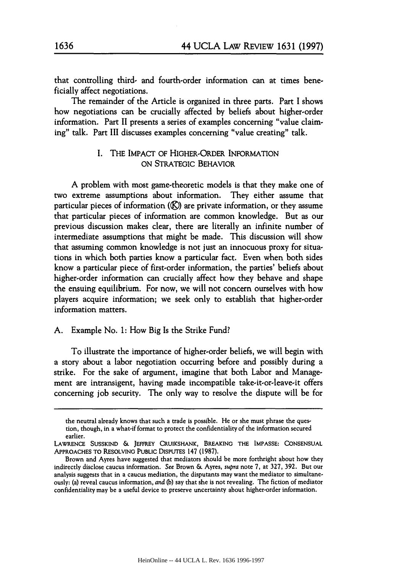that controlling third- and fourth-order information can at times beneficially affect negotiations.

The remainder of the Article is organized in three parts. Part I shows how negotiations can be crucially affected **by** beliefs about higher-order information. Part II presents a series of examples concerning "value claiming" talk. Part III discusses examples concerning "value creating" talk.

## I. THE IMPACT OF HIGHER-ORDER INFORMATION ON STRATEGIC BEHAVIOR

A problem with most game-theoretic models is that they make one of two extreme assumptions about information. They either assume that particular pieces of information **(K)** are private information, or they assume that particular pieces of information are common knowledge. But as our previous discussion makes clear, there are literally an infinite number of intermediate assumptions that might be made. This discussion will show that assuming common knowledge is not just an innocuous proxy for situations in which both parties know a particular fact. Even when both sides know a particular piece of first-order information, the parties' beliefs about higher-order information can crucially affect how they behave and shape the ensuing equilibrium. For now, we will not concern ourselves with how players acquire information; we seek only to establish that higher-order information matters.

#### A. Example No. **1:** How Big Is the Strike Fund?

To illustrate the importance of higher-order beliefs, we will begin with a story about a labor negotiation occurring before and possibly during a strike. For the sake of argument, imagine that both Labor and Management are intransigent, having made incompatible take-it-or-leave-it offers concerning job security. The only way to resolve the dispute will be for

the neutral already knows that such a trade is possible. He or she must phrase the question, though, in a what-if format to protect the confidentiality of the information secured earlier.

LAWRENCE **SUSSKIND &** JEFFREY **CRUIKSHANK,** BREAKING THE **IMPASSE: CONSENSUAL** APPROACHES TO RESOLVING PUBLIC DISPUTES 147 (1987).

Brown and Ayres have suggested that mediators should be more forthright about how they indirectly disclose caucus information. See Brown & Ayres, *supra* note 7, at 327, 392. But our analysis suggests that in a caucus mediation, the disputants may want the mediator to simultaneously: (a) reveal caucus information, and **(b)** say that she is not revealing. The fiction of mediator confidentiality may be a useful device to preserve uncertainty about higher-order information.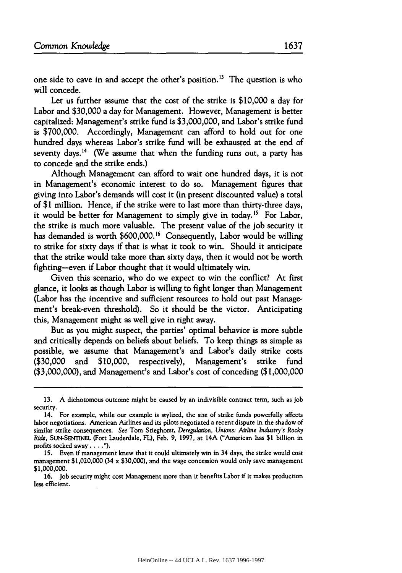one side to cave in and accept the other's position.<sup>13</sup> The question is who will concede.

Let us further assume that the cost of the strike is \$10,000 a day for Labor and **\$30,000** a day for Management. However, Management is better capitalized: Management's strike fund is \$3,000,000, and Labor's strike fund is \$700,000. Accordingly, Management can afford to hold out for one hundred days whereas Labor's strike fund will be exhausted at the end of seventy days.<sup>14</sup> (We assume that when the funding runs out, a party has to concede and the strike ends.)

Although Management can afford to wait one hundred days, it is not in Management's economic interest to do so. Management figures that giving into Labor's demands will cost it (in present discounted value) a total of **\$1** million. Hence, if the strike were to last more than thirty-three days, it would be better for Management to simply give in today.<sup>15</sup> For Labor, the strike is much more valuable. The present value of the **job** security it has demanded is worth \$600,000.<sup>16</sup> Consequently, Labor would be willing to strike for sixty days if that is what it took to win. Should it anticipate that the strike would take more than sixty days, then it would not be worth fighting-even if Labor thought that it would ultimately win.

Given this scenario, who do we expect to win the conflict? At first glance, it looks as though Labor is willing to fight longer than Management (Labor has the incentive and sufficient resources to hold out past Management's break-even threshold). So it should be the victor. Anticipating this, Management might as well give in right away.

But as you might suspect, the parties' optimal behavior is more subtle and critically depends on beliefs about beliefs. To keep things as simple as possible, we assume that Management's and Labor's daily strike costs (\$30,000 and \$10,000, respectively), Management's strike fund (\$3,000,000), and Management's and Labor's cost of conceding (\$1,000,000

**<sup>13.</sup>** A dichotomous outcome might be caused by an indivisible contract term, such as **job** security.

<sup>14.</sup> For example, while our example is stylized, the size of strike funds powerfully affects labor negotiations. American Airlines and its pilots negotiated a recent dispute in the shadow of similar strike consequences. See Tom Stieghorst, *Deregulation, Unions: Airline Industry's* Rocky *Ride,* SUN-SENTINEL (Fort Lauderdale, FL), Feb. 9, **1997,** at 14A ("American has **\$1** billion in profits socked away **....").**

**<sup>15.</sup>** Even if management knew that **it** could ultimately win **in** 34 days, the strike would cost management \$1,020,000 (34 x **\$30,000),** and the wage concession would only save management **\$1,000,000.**

<sup>16.</sup> Job security might cost Management more than **it** benefits Labor if **it** makes production less efficient.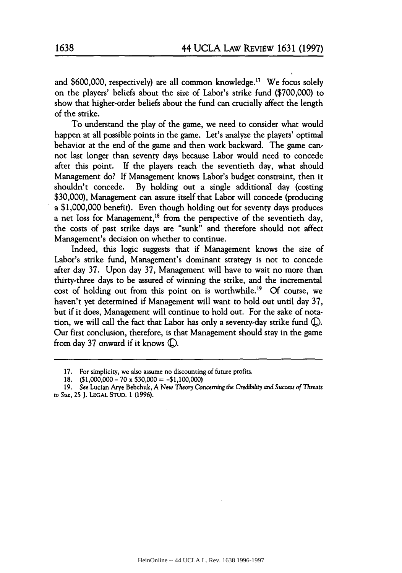and  $$600,000$ , respectively) are all common knowledge.<sup>17</sup> We focus solely on the players' beliefs about the size of Labor's strike fund (\$700,000) to show that higher-order beliefs about the fund can crucially affect the length of the strike.

To understand the play of the game, we need to consider what would happen at all possible points in the game. Let's analyze the players' optimal behavior at the end of the game and then work backward. The game cannot last longer than seventy days because Labor would need to concede after this point. If the players reach the seventieth day, what should Management do? If Management knows Labor's budget constraint, then it shouldn't concede. **By** holding out a single additional day (costing \$30,000), Management can assure itself that Labor will concede (producing a \$1,000,000 benefit). Even though holding out for seventy days produces a net loss for Management,<sup>18</sup> from the perspective of the seventieth day, the costs of past strike days are "sunk" and therefore should not affect Management's decision on whether to continue.

Indeed, this logic suggests that if Management knows the size of Labor's strike fund, Management's dominant strategy is not to concede after day 37. Upon day 37, Management will have to wait no more than thirty-three days to be assured of winning the strike, and the incremental cost of holding out from this point on is worthwhile.<sup>19</sup> Of course, we haven't yet determined if Management will want to hold out until day 37, but if it does, Management will continue to hold out. For the sake of notation, we will call the fact that Labor has only a seventy-day strike fund **(E.** Our first conclusion, therefore, is that Management should stay in the game from day 37 onward if it knows **G.**

**<sup>17.</sup>** For simplicity, we also assume no discounting of future profits.

**<sup>18.</sup>** (\$1,000,000- 70 x \$30,000 = -\$1,100,000)

**<sup>19.</sup>** See Lucian Arye Bebchuk, A *New Theory Concerning the Credibility and Success of Threats* to *Sue,* 25 **J.** LEGAL STUD. 1 (1996).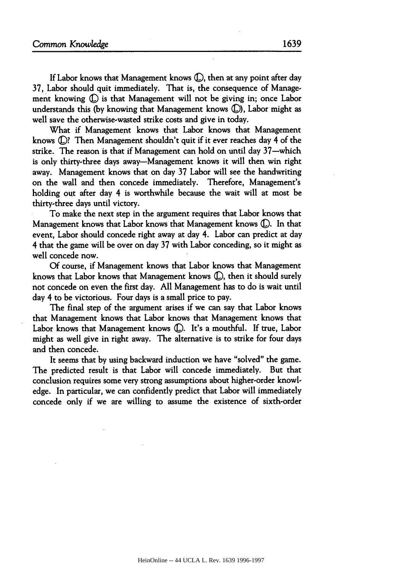If Labor knows that Management knows (L, then at any point after day 37, Labor should quit immediately. That is, the consequence of Management knowing  $\mathbb D$  is that Management will not be giving in; once Labor understands this **(by** knowing that Management knows **([),** Labor might as well save the otherwise-wasted strike costs and give in today.

What if Management knows that Labor knows that Management knows **(©?** Then Management shouldn't quit if it ever reaches day 4 of the strike. The reason is that if Management can hold on until day 37-which is only thirty-three days away-Management knows it will then win right away. Management knows that on day 37 Labor will see the handwriting on the wall and then concede immediately. Therefore, Management's holding out after day 4 is worthwhile because the wait will at most be thirty-three days until victory.

To make the next step in the argument requires that Labor knows that Management knows that Labor knows that Management knows **(E.** In that event, Labor should concede right away at day 4. Labor can predict at day 4 that the game will be over on day 37 with Labor conceding, so it might as well concede now.

Of course, if Management knows that Labor knows that Management knows that Labor knows that Management knows **(E),** then it should surely not concede on even the first day. All Management has to do is wait until day 4 to be victorious. Four days is a small price to pay.

The final step of the argument arises if we can say that Labor knows that Management knows that Labor knows that Management knows that Labor knows that Management knows (D. It's a mouthful. If true, Labor might as well give in right away. The alternative is to strike for four days and then concede.

It seems that **by** using backward induction we have "solved" the game. The predicted result is that Labor will concede immediately. But that conclusion requires some very strong assumptions about higher-order knowledge. In particular, we can confidently predict that Labor will immediately concede only if we are willing to assume the existence of sixth-order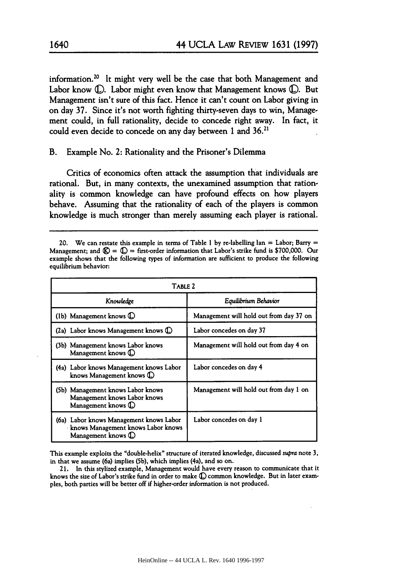information.<sup>20</sup> It might very well be the case that both Management and Labor know **(L).** Labor might even know that Management knows **0.** But Management isn't sure of this fact. Hence it can't count on Labor giving in on day **37.** Since it's not worth fighting thirty-seven days to win, Management could, in full rationality, decide to concede right away. In fact, it could even decide to concede on any day between **1** and **36.21**

B. Example No. 2: Rationality and the Prisoner's Dilemma

Critics of economics often attack the assumption that individuals are rational. But, in many contexts, the unexamined assumption that rationality is common knowledge can have profound effects on how players behave. Assuming that the rationality of each of the players is common knowledge is much stronger than merely assuming each player is rational.

<sup>20.</sup> We can restate this example in terms of Table **1 by** re-labelling Ian **=** Labor; Barry **=** Management; and  $\mathbb{Q} = \mathbb{Q}$  = first-order information that Labor's strike fund is \$700,000. Our example shows that the following types of information are sufficient to produce the following equilibrium behavior:

| TABLE 2                                                                                               |                                         |  |  |  |
|-------------------------------------------------------------------------------------------------------|-----------------------------------------|--|--|--|
| Knowledge                                                                                             | Equilibrium Behavior                    |  |  |  |
| (1b) Management knows $\mathbb{D}$                                                                    | Management will hold out from day 37 on |  |  |  |
| (2a) Labor knows Management knows $\mathbb D$                                                         | Labor concedes on day 37                |  |  |  |
| (3b) Management knows Labor knows<br>Management knows (                                               | Management will hold out from day 4 on  |  |  |  |
| (4a) Labor knows Management knows Labor<br>knows Management knows (D)                                 | Labor concedes on day 4                 |  |  |  |
| (5b) Management knows Labor knows<br>Management knows Labor knows<br>Management knows (D)             | Management will hold out from day 1 on  |  |  |  |
| (6a) Labor knows Management knows Labor<br>knows Management knows Labor knows<br>Management knows (D) | Labor concedes on day 1                 |  |  |  |

This example exploits the "double-helix" structure of iterated knowledge, discussed *supra* note 3, in that we assume (6a) implies **(5b),** which implies (4a), and so on.

**21.** In this stylized example, Management would have every reason to communicate that it knows the size of Labor's strike fund in order to make  $\mathbb O$  common knowledge. But in later examples, both parties will be better off if higher-order information is not produced.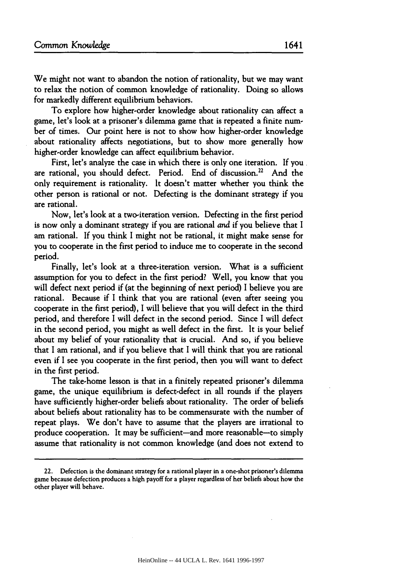We might not want to abandon the notion of rationality, but we may want to relax the notion of common knowledge of rationality. Doing so allows for markedly different equilibrium behaviors.

To explore how higher-order knowledge about rationality can affect a game, let's look at a prisoner's dilemma game that is repeated a finite number of times. Our point here is not to show how higher-order knowledge about rationality affects negotiations, but to show more generally how higher-order knowledge can affect equilibrium behavior.

First, let's analyze the case in which there is only one iteration. If you are rational, you should defect. Period. End of discussion.<sup>22</sup> And the only requirement is rationality. It doesn't matter whether you think the other person is rational or not. Defecting is the dominant strategy if you are rational.

Now, let's look at a two-iteration version. Defecting in the first period is now only a dominant strategy if you are rational *and* if you believe that I am rational. If you think I might not be rational, it might make sense for you to cooperate in the first period to induce me to cooperate in the second period.

Finally, let's look at a three-iteration version. What is a sufficient assumption for you to defect in the first period? Well, you know that you will defect next period if (at the beginning of next period) I believe you are rational. Because if I think that you are rational (even after seeing you cooperate in the first period), I will believe that you will defect in the third period, and therefore I will defect in the second period. Since I will defect in the second period, you might as well defect in the first. It is your belief about my belief of your rationality that is crucial. And so, if you believe that I am rational, and if you believe that I will think that you are rational even if I see you cooperate in the first period, then you will want to defect in the first period.

The take-home lesson is that in a finitely repeated prisoner's dilemma game, the unique equilibrium is defect-defect in all rounds if the players have sufficiently higher-order beliefs about rationality. The order of beliefs about beliefs about rationality has to be commensurate with the number of repeat plays. We don't have to assume that the players are irrational to produce cooperation. It may be sufficient-and more reasonable-to simply assume that rationality is not common knowledge (and does not extend to

<sup>22.</sup> Defection is the dominant strategy for a rational player in a one-shot prisoner's dilemma game because defection produces a high payoff for a player regardless of her beliefs about how the other player will behave.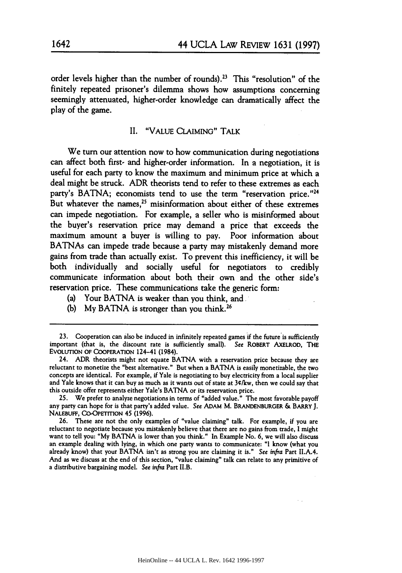order levels higher than the number of rounds).<sup>23</sup> This "resolution" of the finitely repeated prisoner's dilemma shows how assumptions concerning seemingly attenuated, higher-order knowledge can dramatically affect the play of the game.

### II. "VALUE CLAIMING" TALK

We turn our attention now to how communication during negotiations can affect both first- and higher-order information. In a negotiation, it is useful for each party to know the maximum and minimum price at which a deal might be struck. ADR theorists tend to refer to these extremes as each party's **BATNA;** economists tend to use the term "reservation price. **'24** But whatever the names,<sup>25</sup> misinformation about either of these extremes can impede negotiation. For example, a seller who is misinformed about the buyer's reservation price may demand a price that exceeds the maximum amount a buyer is willing to pay. Poor information about BATNAs can impede trade because a party may mistakenly demand more gains from trade than actually exist. To prevent this inefficiency, it will be both individually and socially useful for negotiators to credibly communicate information about both their own and the other side's reservation price. These communications take the generic form:

- (a) Your **BATNA** is weaker than you think, and
- (b) My BATNA is stronger than you think.<sup>26</sup>

25. We prefer to analyze negotiations in terms of "added value." The most favorable payoff any party can hope for is that party's added value. See ADAM M. **BRANDENBURoER** & **BARRY J. NALEBUFF,** CO-OPETITION 45 (1996).

26. These are not the only examples of "value claiming" talk. For example, if you are reluctant to negotiate because you mistakenly believe that there are no gains from trade, **I** might want to tell you: **"My** BATNA is lower than you think." In Example No. **6,** we will also discuss an example dealing with lying, in which one party wants to communicate: **"I** know (what you already know) that your BATNA isn't as strong you are claiming it is." See infra Part II.A.4. And as we discuss at the end of this section, "value claiming" talk can relate to any primitive of a distributive bargaining model. **See** infra Part II.B.

<sup>23.</sup> Cooperation can also be induced in infinitely repeated games if the future is sufficiently important (that is, the discount rate is sufficiently small). See ROBERT AXELROD, **THE** EVOLUTION OF COOPERATION 124-41 (1984).

<sup>24.</sup> ADR theorists might not equate BATNA with a reservation price because they are reluctant to monetize the "best alternative." But when a BATNA is easily monetizable, the two concepts are identical. For example, if Yale is negotiating to buy electricity from a local supplier and Yale knows that it can buy as much as **it** wants **out** of state at 34/kw, then we could say that this outside offer represents either Yale's BATNA or its reservation price.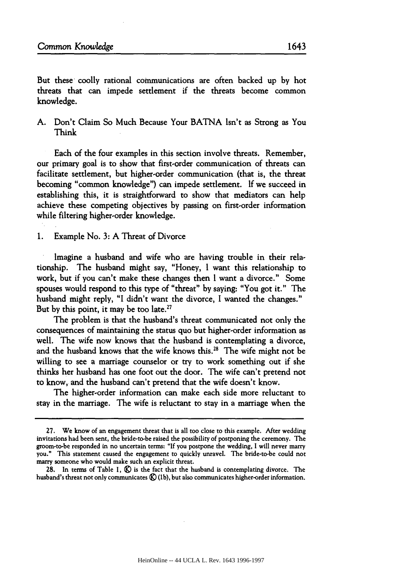But these coolly rational communications are often backed up by hot threats that can impede settlement if the threats become common knowledge.

A. Don't Claim So Much Because Your BATNA Isn't as Strong as You Think

Each of the four examples in this section involve threats. Remember, our primary goal is to show that first-order communication of threats can facilitate settlement, but higher-order communication (that is, the threat becoming "common knowledge") can impede settlement. If we succeed in establishing this, it is straightforward to show that mediators can help achieve these competing objectives by passing on first-order information while filtering higher-order knowledge.

**1.** Example No. **3:** A Threat of Divorce

Imagine a husband and wife who are having trouble in their relationship. The husband might say, "Honey, I want this relationship to work, but if you can't make these changes then I want a divorce." Some spouses would respond to this type of "threat" by saying: "You got it." The husband might reply, "I didn't want the divorce, I wanted the changes." But by this point, it may be too late.<sup>27</sup>

The problem is that the husband's threat communicated not only the consequences of maintaining the status quo but higher-order information as well. The wife now knows that the husband is contemplating a divorce, and the husband knows that the wife knows this.<sup>28</sup> The wife might not be willing to see a marriage counselor or try to work something out if she thinks her husband has one foot out the door. The wife can't pretend not to know, and the husband can't pretend that the wife doesn't know.

The higher-order information can make each side more reluctant to stay in the marriage. The wife is reluctant to stay in a marriage when the

**<sup>27.</sup>** We know of an engagement threat that is all too close to this example. After wedding invitations had been sent, the bride-to-be raised the possibility of postponing the ceremony. The groom-to-be responded in no uncertain terms. **"If** you postpone the wedding, I will never marry you." This statement caused the engagement to quickly unravel. The bride-to-be could not marry someone who would make such an explicit threat.

<sup>28.</sup> In terms of Table I,  $\bigotimes$  is the fact that the husband is contemplating divorce. The husband's threat not only communicates  $\mathcal{R}(1b)$ , but also communicates higher-order information.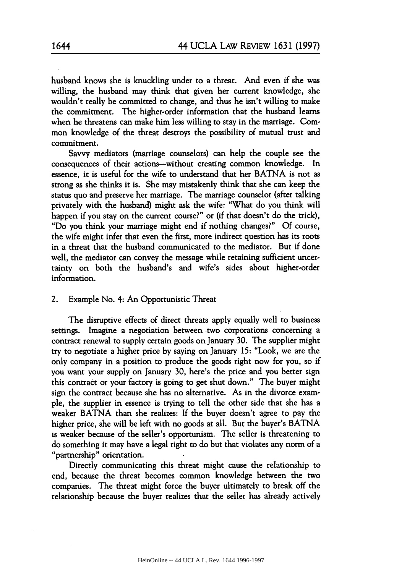husband knows she is knuckling under to a threat. And even if she was willing, the husband may think that given her current knowledge, she wouldn't really be committed to change, and thus he isn't willing to make the commitment. The higher-order information that the husband learns when he threatens can make him less willing to stay in the marriage. Common knowledge of the threat destroys the possibility of mutual trust and commitment.

Savvy mediators (marriage counselors) can help the couple see the consequences of their actions-without creating common knowledge. In essence, it is useful for the wife to understand that her BATNA is not as strong as she thinks it is. She may mistakenly think that she can keep the status quo and preserve her marriage. The marriage counselor (after talking privately with the husband) might ask the wife: "What do you think will happen if you stay on the current course?" or (if that doesn't do the trick), "Do you think your marriage might end if nothing changes?" **Of** course, the wife might infer that even the first, more indirect question has its roots in a threat that the husband communicated to the mediator. But if done well, the mediator can convey the message while retaining sufficient uncertainty on both the husband's and wife's sides about higher-order information.

#### 2. Example No. 4: An Opportunistic Threat

The disruptive effects of direct threats apply equally well to business settings. Imagine a negotiation between two corporations concerning a contract renewal to supply certain goods on January 30. The supplier might try to negotiate a higher price **by** saying on January **15:** "Look, we are the only company in a position to produce the goods right now for you, so if you want your supply on January 30, here's the price and you better sign this contract or your factory is going to get shut down." The buyer might sign the contract because she has no alternative. As in the divorce example, the supplier in essence is trying to tell the other side that she has a weaker BATNA than she realizes: **If** the buyer doesn't agree to pay the higher price, she will be left with no goods at all. But the buyer's BATNA is weaker because of the seller's opportunism. The seller is threatening to do something it may have a legal right to do but that violates any norm of a "partnership" orientation.

Directly communicating this threat might cause the relationship to end, because the threat becomes common knowledge between the two companies. The threat might force the buyer ultimately to break off the relationship because the buyer realizes that the seller has already actively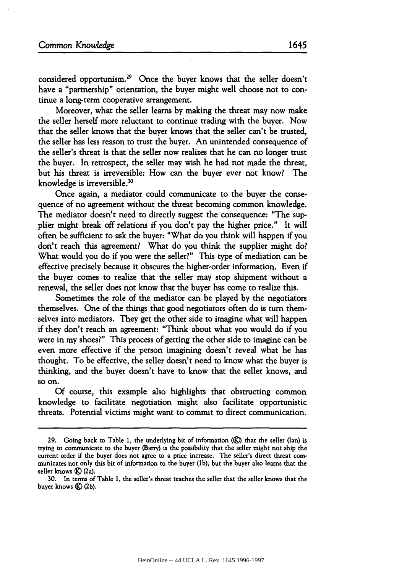considered opportunism.29 Once the buyer knows that the seller doesn't have a "partnership" orientation, the buyer might well choose not to continue a long-term cooperative arrangement.

Moreover, what the seller learns by making the threat may now make the seller herself more reluctant to continue trading with the buyer. Now that the seller knows that the buyer knows that the seller can't be trusted, the seller has less reason to trust the buyer. An unintended consequence of the seller's threat is that the seller now realizes that he can no longer trust the buyer. In retrospect, the seller may wish he had not made the threat, but his threat is irreversible: How can the buyer ever not know? The knowledge is irreversible.<sup>30</sup>

Once again, a mediator could communicate to the buyer the consequence of no agreement without the threat becoming common knowledge. The mediator doesn't need to directly suggest the consequence: "The supplier might break off relations if you don't pay the higher price." It will often be sufficient to ask the buyer: "What do you think will happen if you don't reach this agreement? What do you think the supplier might do? What would you do if you were the seller?" This type of mediation can be effective precisely because it obscures the higher-order information. Even if the buyer comes to realize that the seller may stop shipment without a renewal, the seller does not know that the buyer has come to realize this.

Sometimes the role of the mediator can be played by the negotiators themselves. One of the things that good negotiators often do is turn themselves into mediators. They get the other side to imagine what will happen if they don't reach an agreement: "Think about what you would do if you were in my shoes?" This process of getting the other side to imagine can be even more effective if the person imagining doesn't reveal what he has thought. To be effective, the seller doesn't need to know what the buyer is thinking, and the buyer doesn't have to know that the seller knows, and so on.

Of course, this example also highlights that obstructing common knowledge to facilitate negotiation might also facilitate opportunistic threats. Potential victims might want to commit to direct communication.

<sup>29.</sup> Going back to Table 1, the underlying bit of information *(C)* that the seller *(Ian)* is trying to communicate to the buyer (Barry) is the possibility that the seller might not ship the current order if the buyer does not agree to a price increase. The seller's direct threat communicates not only this bit of information to the buyer (lb), but the buyer also learns that the seller knows **(E)** (2a).

<sup>30.</sup> In terms of Table **1,** the seller's threat teaches the seller that the seller knows that the buyer knows **(g)** (2b).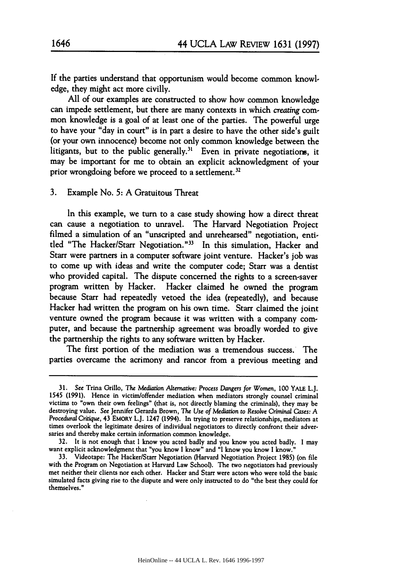If the parties understand that opportunism would become common knowl. edge, they might act more civilly.

All of our examples are constructed to show how common knowledge can impede settlement, but there are many contexts in which *creating* common knowledge is a goal of at least one of the parties. The powerful urge to have your "day in court" is in part a desire to have the other side's guilt (or your own innocence) become not only common knowledge between the litigants, but to the public generally.<sup>31</sup> Even in private negotiations, it may be important for me to obtain an explicit acknowledgment of your prior wrongdoing before we proceed to a settlement.<sup>32</sup>

3. Example No. **5:** A Gratuitous Threat

In this example, we turn to a case study showing how a direct threat can cause a negotiation to unravel. The Harvard Negotiation Project filmed a simulation of an "unscripted and unrehearsed" negotiation, entitled "The Hacker/Starr Negotiation."<sup>33</sup> In this simulation, Hacker and Starr were partners in a computer software joint venture. Hacker's job was to come up with ideas and write the computer code; Starr was a dentist who provided capital. The dispute concerned the rights to a screen-saver program written by Hacker. Hacker claimed he owned the program because Starr had repeatedly vetoed the idea (repeatedly), and because Hacker had written the program on his own time. Starr claimed the joint venture owned the program because it was written with a company computer, and because the partnership agreement was broadly worded to give the partnership the rights to any software written by Hacker.

The first portion of the mediation was a tremendous success. The parties overcame the acrimony and rancor from a previous meeting and

<sup>31.</sup> See Trina Grillo, The Mediation *Alternative: Process Dangers for* Women, **100** YALE L.J. 1545 (1991). Hence in victim/offender mediation when mediators strongly counsel criminal victims to "own their own feelings" (that is, not directly blaming the criminals), they may be destroying value. See Jennifer Gerarda Brown, The *Use of* Mediation *to Resolve Criminal Cases: A Procedural* Critique, 43 **EMORY** L.J. 1247 (1994). In trying to preserve relationships, mediators at times overlook the legitimate desires of individual negotiators to directly confront their adversaries and thereby make certain information common knowledge.

<sup>32.</sup> It is not enough that I know you acted badly and you know you acted badly. I may want explicit acknowledgment that "you know I know" and "I know you know I know."

<sup>33.</sup> Videotape: The Hacker/Starr Negotiation (Harvard Negotiation Project 1985) (on file with the Program on Negotiation at Harvard Law School). The two negotiators had previously met neither their clients nor each other. Hacker and Starr were actors who were told the basic simulated facts giving rise to the dispute and were only instructed to do "the best they could for themselves."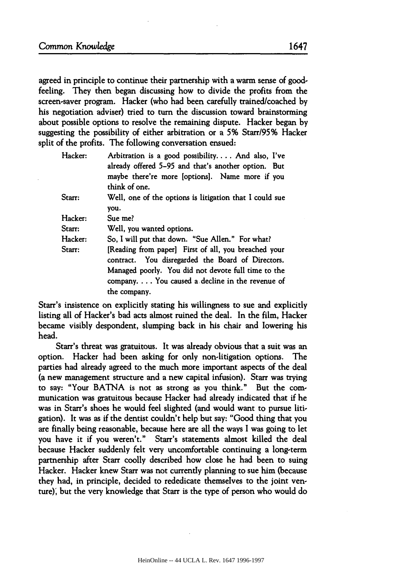agreed in principle to continue their partnership with a warm sense of goodfeeling. They then began discussing how to divide the profits from the screen-saver program. Hacker (who had been carefully trained/coached **by** his negotiation adviser) tried to turn the discussion toward brainstorming about possible options to resolve the remaining dispute. Hacker began **by** suggesting the possibility of either arbitration or a **5%** Starr/95% Hacker split of the profits. The following conversation ensued:

| Hacker: | Arbitration is a good possibility And also, I've<br>already offered 5-95 and that's another option. But   |
|---------|-----------------------------------------------------------------------------------------------------------|
|         | maybe there're more [options]. Name more if you                                                           |
|         | think of one.                                                                                             |
| Starr:  | Well, one of the options is litigation that I could sue<br>you.                                           |
|         |                                                                                                           |
| Hacker: | Sue me?                                                                                                   |
| Starr:  | Well, you wanted options.                                                                                 |
| Hacker: | So, I will put that down. "Sue Allen." For what?                                                          |
| Starr:  | [Reading from paper] First of all, you breached your<br>contract. You disregarded the Board of Directors. |
|         | Managed poorly. You did not devote full time to the                                                       |
|         | company You caused a decline in the revenue of                                                            |
|         | the company.                                                                                              |

Starr's insistence on explicitly stating his willingness to sue and explicitly listing all of Hacker's bad acts almost ruined the deal. In the film, Hacker became visibly despondent, slumping back in his chair and lowering his head.

Starr's threat was gratuitous. It was already obvious that a suit was an option. Hacker had been asking for only non-litigation options. The parties had already agreed to the much more important aspects of the deal (a new management structure and a new capital infusion). Starr was trying to say: "Your BATNA is not as strong as you think." But the communication was gratuitous because Hacker had already indicated that if he was in Starr's shoes he would feel slighted (and would want to pursue litigation). It was as if the dentist couldn't help but say: "Good thing that you are finally being reasonable, because here are all the ways I was going to let you have it if you weren't." Starr's statements almost killed the deal because Hacker suddenly felt very uncomfortable continuing a long-term partnership after Starr coolly described how close he had been to suing Hacker. Hacker knew Starr was not currently planning to sue him (because they had, in principle, decided to rededicate themselves to the joint venture)', but the very knowledge that Starr is the type of person who would do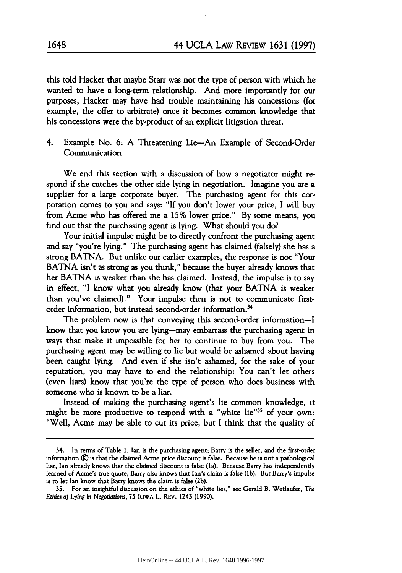this told Hacker that maybe Starr was not the type of person with which he wanted to have a long-term relationship. And more importantly for our purposes, Hacker may have had trouble maintaining his concessions (for example, the offer to arbitrate) once it becomes common knowledge that his concessions were the by-product of an explicit litigation threat.

4. Example No. **6:** A Threatening Lie-An Example of Second-Order Communication

We end this section with a discussion of how a negotiator might respond if she catches the other side lying in negotiation. Imagine you are a supplier for a large corporate buyer. The purchasing agent for this corporation comes to you and says: "If you don't lower your price, I will buy from Acme who has offered me a **15%** lower price." By some means, you find out that the purchasing agent is lying. What should you do?

Your initial impulse might be to directly confront the purchasing agent and say "you're lying." The purchasing agent has claimed (falsely) she has a strong BATNA. But unlike our earlier examples, the response is not "Your BATNA isn't as strong as you think," because the buyer already knows that her BATNA is weaker than she has claimed. Instead, the impulse is to say in effect, "I know what you already know (that your BATNA is weaker than you've claimed)." Your impulse then is not to communicate firstorder information, but instead second-order information.34

The problem now is that conveying this second-order information-I know that you know you are lying-may embarrass the purchasing agent in ways that make it impossible for her to continue to buy from you. The purchasing agent may be willing to lie but would be ashamed about having been caught lying. And even if she isn't ashamed, for the sake of your reputation, you may have to end the relationship: You can't let others (even liars) know that you're the type of person who does business with someone who is known to be a liar.

Instead of making the purchasing agent's lie common knowledge, it might be more productive to respond with a "white lie"<sup>35</sup> of your own: "Well, Acme may be able to cut its price, but I think that the quality of

<sup>34.</sup> In terms of Table 1, Ian is the purchasing agent; Barry is the seller, and the first-order information **C)** is that the claimed Acme price discount is false. Because he is not a pathological liar, Ian already knows that the claimed discount is false (la). Because Barry has independently learned of Acme's true quote, Barry also knows that Ian's claim is false **(lb).** But Barry's impulse is to let **lan** know that Barry knows the claim is false **(2b).**

**<sup>35.</sup>** For an insightful discussion on the ethics of "white lies," see Gerald B. Wetlaufer, The *Ethics of* Lying in *Negotiations,* **75** IOWA L. REv. 1243 **(1990).**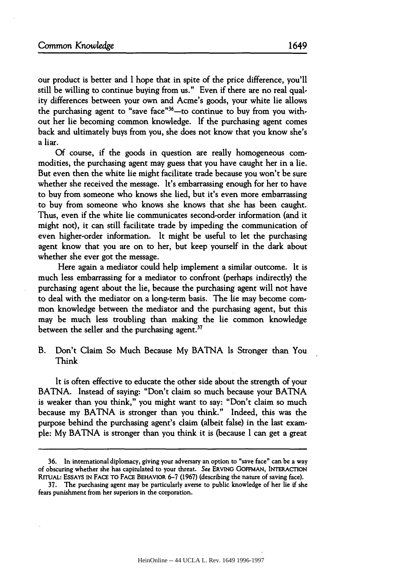our product is better and I hope that in spite of the price difference, you'll still be willing to continue buying from us." Even if there are no real quality differences between your own and Acme's goods, your white lie allows the purchasing agent to "save face" $36$ -to continue to buy from you without her lie becoming common knowledge. If the purchasing agent comes back and ultimately buys from you, she does not know that you know she's a liar.

Of course, if the goods in question are really homogeneous commodities, the purchasing agent may guess that you have caught her in a lie. But even then the white lie might facilitate trade because you won't be sure whether she received the message. It's embarrassing enough for her to have to buy from someone who knows she lied, but it's even more embarrassing to buy from someone who knows she knows that she has been caught. Thus, even if the white lie communicates second-order information (and it might not), it can still facilitate trade by impeding the communication of even higher-order information. It might be useful to let the purchasing agent know that you are on to her, but keep yourself in the dark about whether she ever got the message.

Here again a mediator could help implement a similar outcome. It is much less embarrassing for a mediator to confront (perhaps indirectly) the purchasing agent about the lie, because the purchasing agent will not have to deal with the mediator on a long-term basis. The lie may become common knowledge between the mediator and the purchasing agent, but this may be much less troubling than making the lie common knowledge between the seller and the purchasing agent. $37$ 

B. Don't Claim So Much Because My BATNA Is Stronger than You Think

It is often effective to educate the other side about the strength of your BATNA. Instead of saying: "Don't claim so much because your BATNA is weaker than you think," you might want to say: "Don't claim so much because my BATNA is stronger than you think." Indeed, this was the purpose behind the purchasing agent's claim (albeit false) in the last example: **My BATNA** is stronger than you think it is (because I can get a great

<sup>36.</sup> In international diplomacy, giving your adversary an option to "save face" can be a way of obscuring whether she has capitulated to your threat. See ERVING **GOFFMAN, INTERACTION RrrUAL: ESSAYS IN FACE TO FACE** BEHAVIOR **6-7 (1967)** (describing the nature of saving face).

**<sup>37.</sup>** The purchasing agent may be particularly averse to public knowledge of her lie if she fears punishment from her superiors in the corporation.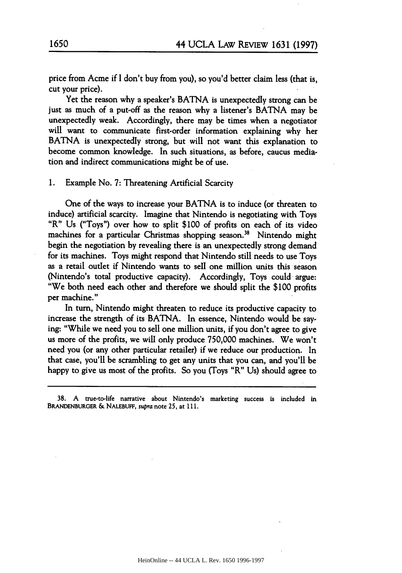price from Acme if I don't buy from you), so you'd better claim less (that is, cut your price).

Yet the reason why a speaker's BATNA is unexpectedly strong can be just as much of a put-off as the reason why a listener's BATNA may be unexpectedly weak. Accordingly, there may be times when a negotiator will want to communicate first-order information explaining why her BATNA is unexpectedly strong, but will not want this explanation to become common knowledge. In such situations, as before, caucus mediation and indirect communications might be of use.

**1.** Example No. **7:** Threatening Artificial Scarcity

One of the ways to increase your BATNA is to induce (or threaten to induce) artificial scarcity. Imagine that Nintendo is negotiating with Toys "R" Us ("Toys") over how to split \$100 of profits on each of its video machines for a particular Christmas shopping season.<sup>38</sup> Nintendo might begin the negotiation by revealing there is an unexpectedly strong demand for its machines. Toys might respond that Nintendo still needs to use Toys as a retail outlet if Nintendo wants to sell one million units this season (Nintendo's total productive capacity). Accordingly, Toys could argue: "We both need each other and therefore we should split the \$100 profits per machine."

In turn, Nintendo might threaten to reduce its productive capacity to increase the strength of its BATNA. In essence, Nintendo would be saying: "While we need you to sell one million units, if you don't agree to give us more of the profits, we will only produce 750,000 machines. We won't need you (or any other particular retailer) if we reduce our production. In that case, you'll be scrambling to get any units that you can, and you'll be happy to give us most of the profits. So you (Toys "R" Us) should agree to

**<sup>38.</sup> A** true-to-life narrative about Nintendo's marketing success is included in BRANDENBURGER **& NALEBUFF,** supra note **25,** at **111.**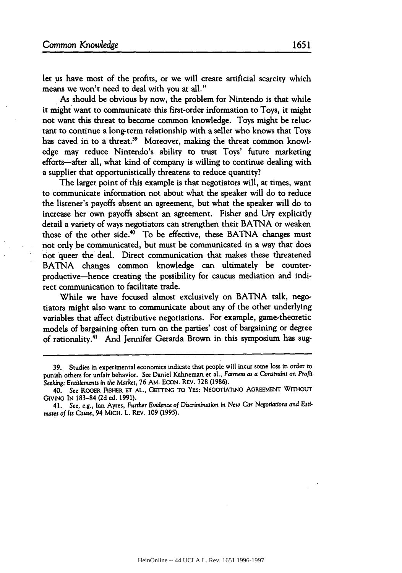let us have most of the profits, or we will create artificial scarcity which means we won't need to deal with you at all."

As should be obvious by now, the problem for Nintendo is that while it might want to communicate this first-order information to Toys, it might not want this threat to become common knowledge. Toys might be reluctant to continue a long-term relationship with a seller who knows that Toys has caved in to a threat.<sup>39</sup> Moreover, making the threat common knowledge may reduce Nintendo's ability to trust Toys' future marketing efforts-after all, what kind of company is willing to continue dealing with a supplier that opportunistically threatens to reduce quantity?

The larger point of this example is that negotiators will, at times, want to communicate information not about what the speaker will do to reduce the listener's payoffs absent an agreement, but what the speaker will do to increase her own payoffs absent an agreement. Fisher and Ury explicitly detail a variety of ways negotiators can strengthen their BATNA or weaken those of the other side.4° To be effective, these BATNA changes must not only be communicated, but must be communicated in a way that does not queer the deal. Direct communication that makes these threatened BATNA changes common knowledge can ultimately be counterproductive-hence creating the possibility for caucus mediation and indirect communication to facilitate trade.

While we have focused almost exclusively on BATNA talk, negotiators might also want to communicate about any of the other underlying variables that affect distributive negotiations. For example, game-theoretic models of bargaining often turn on the parties' cost of bargaining or degree of rationality.4' And Jennifer Gerarda Brown in this symposium has sug-

<sup>39.</sup> Studies in experimental economics indicate that people will incur some loss in order to punish others for unfair behavior. See Daniel Kahneman et al., Fairness *as a* Constraint on Profit Seeking: Entitlements in the Market, **76** AM. EcON. REV. **728 (1986).**

<sup>40.</sup> **See** ROGER FISHER **ET AL., GETTING** TO YES: NEGOTIATING **AGREEMENT** WITHOUT GvINo **IN 183-84 (2d** ed. 1991).

<sup>41.</sup> **See, e.g.,** Ian Ayres, Further Evidence of Discrimination in New Car Negotiations and Esti*mates of Its* Cause, 94 MICH. L. REV. **109** (1995).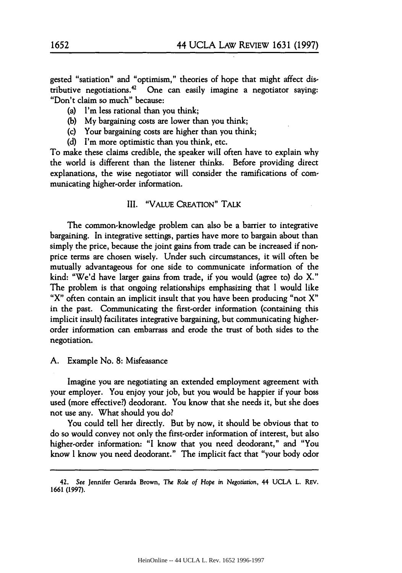gested "satiation" and "optimism," theories of hope that might affect distributive negotiations. $42 \text{ O}$ ne can easily imagine a negotiator saying: "Don't claim so much" because:

(a) I'm less rational than you think;

- (b) My bargaining costs are lower than you think;
- (c) Your bargaining costs are higher than you think;
- (d) I'm more optimistic than you think, etc.

To make these claims credible, the speaker will often have to explain why the world is different than the listener thinks. Before providing direct explanations, the wise negotiator will consider the ramifications of communicating higher-order information.

#### III. "VALUE CREATION" TALK

The common-knowledge problem can also be a barrier to integrative bargaining. In integrative settings, parties have more to bargain about than simply the price, because the joint gains from trade can be increased if nonprice terms are chosen wisely. Under such circumstances, it will often be mutually advantageous for one side to communicate information of the kind: "We'd have larger gains from trade, if you would (agree to) do X." The problem is that ongoing relationships emphasizing that I would like "X" often contain an implicit insult that you have been producing "not X" in the past. Communicating the first-order information (containing this implicit insult) facilitates integrative bargaining, but communicating higherorder information can embarrass and erode the trust of both sides to the negotiation.

A. Example No. **8:** Misfeasance

Imagine you are negotiating an extended employment agreement with your employer. You enjoy your job, but you would be happier if your boss used (more effective?) deodorant. You know that she needs it, but she does not use any. What should you do?

You could tell her directly. But by now, it should be obvious that to do so would convey not only the first-order information of interest, but also higher-order information: "I know that you need deodorant," and "You know I know you need deodorant." The implicit fact that "your body odor

<sup>42.</sup> **See** Jennifer Gerarda Brown, The *Role of Hope* in Negotiation, 44 UCLA L. REV. 1661 (1997).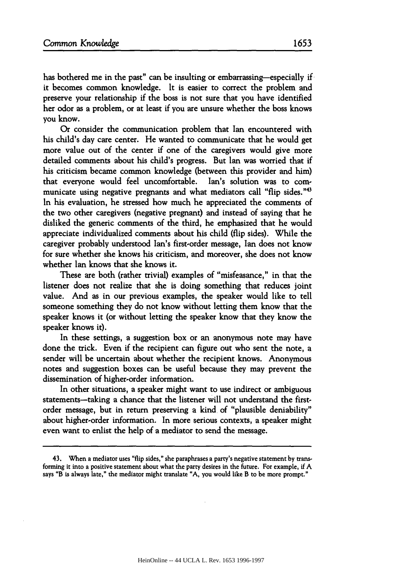has bothered me in the past" can be insulting or embarrassing-especially if it becomes common knowledge. It is easier to correct the problem and preserve your relationship if the boss is not sure that you have identified her odor as a problem, or at least if you are unsure whether the boss knows you know.

Or consider the communication problem that Ian encountered with his child's day care center. He wanted to communicate that he would get more value out of the center if one of the caregivers would give more detailed comments about his child's progress. But Ian was worried that if his criticism became common knowledge (between this provider and him) that everyone would feel uncomfortable. Ian's solution was to communicate using negative pregnants and what mediators call "flip sides."<sup>43</sup> In his evaluation, he stressed how much he appreciated the comments of the two other caregivers (negative pregnant) and instead of saying that he disliked the generic comments of the third, he emphasized that he would appreciate individualized comments about his child (flip sides). While the caregiver probably understood Ian's first-order message, Ian does not know for sure whether she knows his criticism, and moreover, she does not know whether Ian knows that she knows it.

These are both (rather trivial) examples of "misfeasance," in that the listener does not realize that she is doing something that reduces joint value. And as in our previous examples, the speaker would like to tell someone something they do not know without letting them know that the speaker knows it (or without letting the speaker know that they know the speaker knows it).

In these settings, a suggestion box or an anonymous note may have done the trick. Even if the recipient can figure out who sent the note, a sender will be uncertain about whether the recipient knows. Anonymous notes and suggestion boxes can be useful because they may prevent the dissemination of higher-order information.

In other situations, a speaker might want to use indirect or ambiguous statements-taking a chance that the listener will not understand the firstorder message, but in return preserving a kind of "plausible deniability" about higher-order information. In more serious contexts, a speaker might even want to enlist the help of a mediator to send the message.

<sup>43.</sup> When a mediator uses "flip sides," she paraphrases a party's negative statement **by** transforming **it** into a positive statement about what the party desires in the future. For example, if A says "B is always late," the mediator might translate **"A,** you would like B to be more prompt."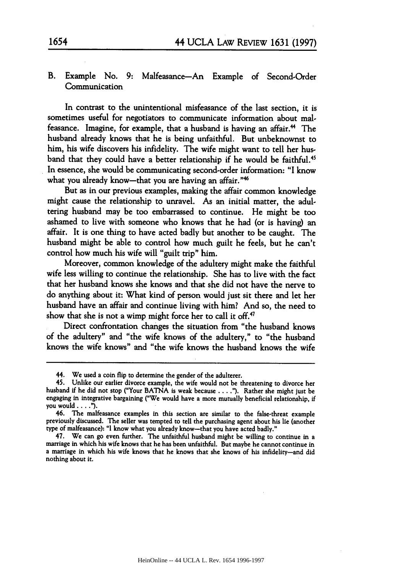## B. Example No. 9: Malfeasance-An Example of Second-Order Communication

In contrast to the unintentional misfeasance of the last section, it is sometimes useful for negotiators to communicate information about malfeasance. Imagine, for example, that a husband is having an affair. 4 The husband already knows that he is being unfaithful. But unbeknownst to him, his wife discovers his infidelity. The wife might want to tell her husband that they could have a better relationship if he would be faithful.<sup>45</sup> In essence, she would be communicating second-order information: "I know what you already know-that you are having an affair."<sup>46</sup>

But as in our previous examples, making the affair common knowledge might cause the relationship to unravel. As an initial matter, the adultering husband may be too embarrassed to continue. He might be too ashamed to live with someone who knows that he had (or is having) an affair. It is one thing to have acted badly but another to be caught. The husband might be able to control how much guilt he feels, but he can't control how much his wife will "guilt trip" him.

Moreover, common knowledge of the adultery might make the faithful wife less willing to continue the relationship. She has to live with the fact that her husband knows she knows and that she did not have the nerve to do anything about it: What kind of person would just sit there and let her husband have an affair and continue living with him? And so, the need to show that she is not a wimp might force her to call it off.<sup>47</sup>

Direct confrontation changes the situation from "the husband knows of the adultery" and "the wife knows of the adultery," to "the husband knows the wife knows" and "the wife knows the husband knows the wife

<sup>44.</sup> We used a coin flip to determine the gender of the adulterer.

<sup>45.</sup> Unlike our earlier divorce example, the wife would not be threatening to divorce her husband if he did not stop ("Your BATNA is weak because **.... ).** Rather she might just be engaging in integrative bargaining ("We would have a more mutually beneficial relationship, if you would....").

<sup>46.</sup> The malfeasance examples in this section are similar to the false-threat example previously discussed. The seller was tempted to tell the purchasing agent about his lie (another type of malfeasance): "I know what you already know-that you have acted badly."

<sup>47.</sup> We can go even further. The unfaithful husband might be willing to continue in a marriage in which his wife knows that he has been unfaithful. But maybe he cannot continue in a marriage in which his wife knows that he nothing about it.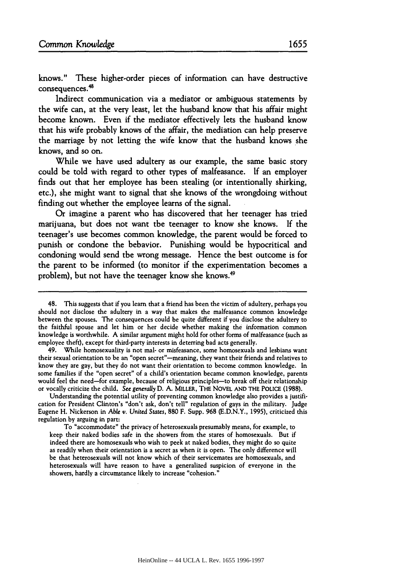knows." These higher-order pieces of information can have destructive consequences. 48

Indirect communication via a mediator or ambiguous statements **by** the wife can, at the very least, let the husband know that his affair might become known. Even if the mediator effectively lets the husband know that his wife probably knows of the affair, the mediation can help preserve the marriage by not letting the wife know that the husband knows she knows, and so on.

While we have used adultery as our example, the same basic story could be told with regard to other types of malfeasance. **If** an employer finds out that her employee has been stealing (or intentionally shirking, etc.), she might want to signal that she knows of the wrongdoing without finding out whether the employee learns of the signal.

Or imagine a parent who has discovered that her teenager has tried marijuana, but does not want the teenager to know she knows. If the teenager's use becomes common knowledge, the parent would be forced to punish or condone the behavior. Punishing would be hypocritical and condoning would send the wrong message. Hence the best outcome is for the parent to be informed (to monitor if the experimentation becomes a problem), but not have the teenager know she knows.<sup>49</sup>

Understanding the potential utility of preventing common knowledge also provides a justification for President Clinton's "don't ask, don't tell" regulation of gays in the military. Judge Eugene H. Nickerson in **Able** v. United States, 880 F. Supp. 968 (E.D.N.Y., 1995), criticized this regulation by arguing in part:

To "accommodate" the privacy of heterosexuals presumably means, for example, to keep their naked bodies safe in the showers from the stares of homosexuals. But if indeed there are homosexuals who wish to peek at naked bodies, they might do so quite as readily when their orientation is a secret as when it is open. The only difference will be that heterosexuals will not know which of their servicemates are homosexuals, and heterosexuals will have reason to have a generalized suspicion of everyone in the showers, hardly a circumstance likely to increase "cohesion."

<sup>48.</sup> This suggests that if you learn that a friend has been the victim of adultery, perhaps you should not disclose the adultery in a way that makes the malfeasance common knowledge between the spouses. The consequences could be quite different if you disclose the adultery to the faithful spouse and let him or her decide whether making the information common knowledge is worthwhile. A similar argument might hold for other forms of malfeasance (such as employee theft), except for third-party interests in deterring bad acts generally.

<sup>49.</sup> While homosexuality is not mal- or misfeasance, some homosexuals and lesbians want their sexual orientation to be an "open secret"-meaning, they want their friends and relatives to know they are gay, but they do not want their orientation to become common knowledge. In some families if the "open secret" of a child's orientation became common knowledge, parents would feel the need-for example, because of religious principles-to break off their relationship or vocally criticize the child. See generally D. A. MILLER, THE NOVEL AND THE POLICE (1988).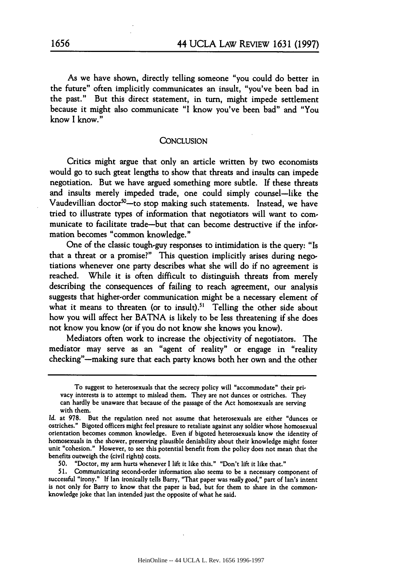As we have shown, directly telling someone "you could do better in the future" often implicitly communicates an insult, "you've been bad in the past." But this direct statement, in turn, might impede settlement because it might also communicate "I know you've been bad" and "You know I know."

#### **CONCLUSION**

Critics might argue that only an article written by two economists would go to such great lengths to show that threats and insults can impede negotiation. But we have argued something more subtle. If these threats and insults merely impeded trade, one could simply counsel-like the Vaudevillian doctor<sup>50</sup>-to stop making such statements. Instead, we have tried to illustrate types of information that negotiators will want to communicate to facilitate trade-but that can become destructive if the information becomes "common knowledge."

One of the classic tough-guy responses to intimidation is the query: "Is that a threat or a promise?" This question implicitly arises during negotiations whenever one party describes what she will do if no agreement is reached. While it is often difficult to distinguish threats from merely describing the consequences of failing to reach agreement, our analysis suggests that higher-order communication might be a necessary element of what it means to threaten (or to insult).<sup>51</sup> Telling the other side about how you will affect her BATNA is likely to be less threatening if she does not know you know (or if you do not know she knows you know).

Mediators often work to increase the objectivity of negotiators. The mediator may serve as an "agent of reality" or engage in "reality checking"-making sure that each party knows both her own and the other

To suggest to heterosexuals that the secrecy policy will "accommodate" their privacy interests is to attempt to mislead them. They are not dunces or ostriches. They can hardly be unaware that because of the passage of the Act homosexuals are serving with them.

Id. at 978. But the regulation need not assume that heterosexuals are either "dunces or ostriches." Bigoted officers might feel pressure to retaliate against any soldier whose homosexual orientation becomes common knowledge. Even if bigoted heterosexuals know the identity of homosexuals in the shower, preserving plausible deniability about their knowledge might foster unit "cohesion." However, to see this potential benefit from the policy does not mean that the benefits outweigh the (civil rights) costs.

<sup>50. &</sup>quot;Doctor, my arm hurts whenever I lift it like this." "Don't lift it like that."

<sup>51.</sup> Communicating second-order information also seems to be a necessary component of successful "irony." **If** Ian ironically tells Barry, "That paper was really *good,"* part of Ian's intent is not only for Barry to know that the paper is bad, but for them to share in the commonknowledge joke that Ian intended just the opposite of what he said.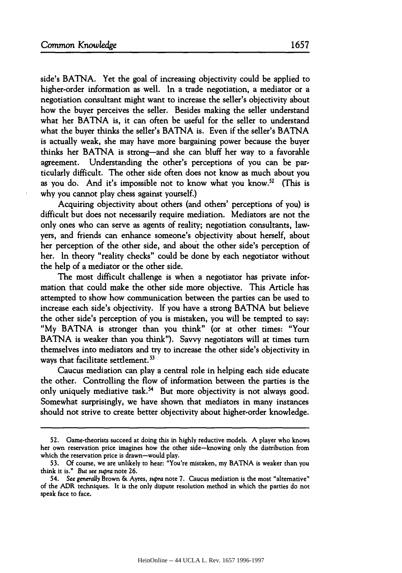side's BATNA. Yet the goal of increasing objectivity could be applied to higher-order information as well. In a trade negotiation, a mediator or a negotiation consultant might want to increase the seller's objectivity about how the buyer perceives the seller. Besides making the seller understand what her BATNA is, it can often be useful for the seller to understand what the buyer thinks the seller's BATNA is. Even if the seller's BATNA is actually weak, she may have more bargaining power because the buyer thinks her BATNA is strong-and she can bluff her way to a favorable agreement. Understanding the other's perceptions of you can be particularly difficult. The other side often does not know as much about you as you do. And it's impossible not to know what you know.<sup>52</sup> (This is why you cannot play chess against yourself.)

Acquiring objectivity about others (and others' perceptions of you) is difficult but does not necessarily require mediation. Mediators are not the only ones who can serve as agents of reality; negotiation consultants, lawyers, and friends can enhance someone's objectivity about herself, about her perception of the other side, and about the other side's perception of her. In theory "reality checks" could be done by each negotiator without the help of a mediator or the other side.

The most difficult challenge is when a negotiator has private information that could make the other side more objective. This Article has attempted to show how communication between the parties can be used to increase each side's objectivity. **If** you have a strong BATNA but believe the other side's perception of you is mistaken, you will be tempted to say: "My BATNA is stronger than you think" (or at other times: "Your BATNA is weaker than you think"). Savvy negotiators will at times turn themselves into mediators and try to increase the other side's objectivity in ways that facilitate settlement.<sup>53</sup>

Caucus mediation can play a central role in helping each side educate the other. Controlling the flow of information between the parties is the only uniquely mediative task.<sup>54</sup> But more objectivity is not always good. Somewhat surprisingly, we have shown that mediators in many instances should not strive to create better objectivity about higher-order knowledge.

<sup>52.</sup> Game-theorists succeed at doing this in highly reductive models. **A** player who knows her own reservation price imagines how the other side-knowing only the distribution from which the reservation price is drawn-would play.

<sup>53.</sup> **Of** course, we are unlikely to hear: "You're mistaken, my BATNA is weaker than you think it is." *But see supra* note 26.

<sup>54.</sup> **See** *generaUy* Brown **&** Ayres, *supra* note 7. Caucus mediation is the most "alternative" of the ADR techniques. It is the only dispute resolution method in which the parties do not speak face to face.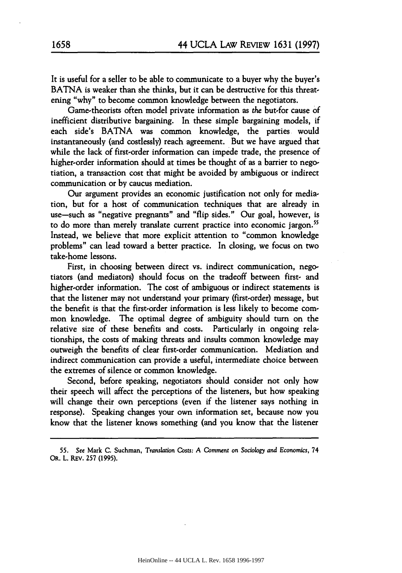It is useful for a seller to be able to communicate to a buyer why the buyer's BATNA is weaker than she thinks, but it can be destructive for this threatening "why" to become common knowledge between the negotiators.

Game-theorists often model private information as the but-for cause **of** inefficient distributive bargaining. In these simple bargaining models, if each side's BATNA was common knowledge, the parties would instantaneously (and costlessly) reach agreement. But we have argued that while the lack of first-order information can impede trade, the presence of higher-order information should at times be thought of as a barrier to negotiation, a transaction cost that might be avoided by ambiguous or indirect communication or **by** caucus mediation.

Our argument provides an economic justification not only for mediation, but for a host of communication techniques that are already in use-such as "negative pregnants" and "flip sides." Our goal, however, is to do more than merely translate current practice into economic jargon.<sup>55</sup> Instead, we believe that more explicit attention to "common knowledge problems" can lead toward a better practice. In closing, we focus on two take-home lessons.

First, in choosing between direct vs. indirect communication, negotiators (and mediators) should focus on the tradeoff between first- and higher-order information. The cost of ambiguous or indirect statements is that the listener may not understand your primary (first-order) message, but the benefit is that the first-order information is less likely to become common knowledge. The optimal degree of ambiguity should turn on the relative size of these benefits and costs. Particularly in ongoing relationships, the costs of making threats and insults common knowledge may outweigh the benefits of clear first-order communication. Mediation and indirect communication can provide a useful, intermediate choice between the extremes of silence or common knowledge.

Second, before speaking, negotiators should consider not only how their speech will affect the perceptions of the listeners, but how speaking will change their own perceptions (even if the listener says nothing in response). Speaking changes your own information set, because now you know that the listener knows something (and you know that the listener

<sup>55.</sup> See Mark **C.** Suchman, *Translation Costs:* **A** Comment *on Sociology and Economics,* 74 OR. L. REv. 257 (1995).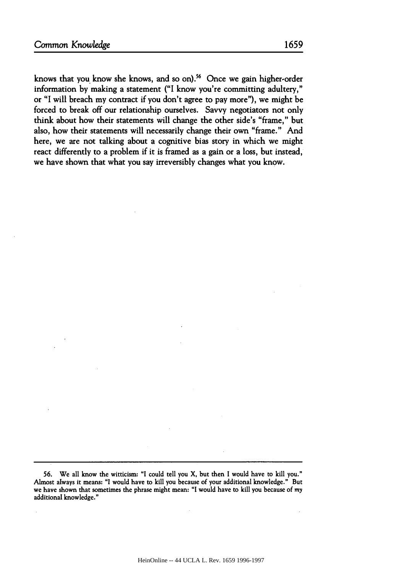knows that you know she knows, and so on).<sup>56</sup> Once we gain higher-order information **by** making a statement ("I know you're committing adultery," or "I will breach my contract if you don't agree to pay more"), we might be forced to break off our relationship ourselves. Savvy negotiators not only think about how their statements will change the other side's "frame," but also, how their statements will necessarily change their own "frame." And here, we are not talking about a cognitive bias story in which we might react differently to a problem if it is framed as a gain or a loss, but instead, we have shown that what you say irreversibly changes what you know.

**56.** We all know the witticism: **"I** could tell you X, but then **I** would have to kill you." Almost always it means: "I would have to kill you because of your additional knowledge." But we have shown that sometimes the phrase might mean: "I would have to kill you because of my additional knowledge."